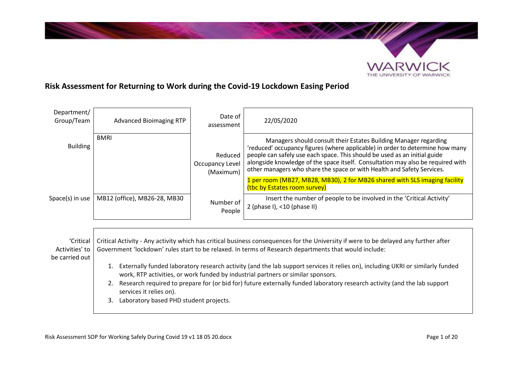

# **Risk Assessment for Returning to Work during the Covid-19 Lockdown Easing Period**

| Department/<br>Group/Team   | <b>Advanced Bioimaging RTP</b>                                                                                                                                                                                                                                                                                                                                                  | Date of<br>assessment                   | 22/05/2020                                                                                                                                                                                                                                                                                                                                                                                                                                                                |
|-----------------------------|---------------------------------------------------------------------------------------------------------------------------------------------------------------------------------------------------------------------------------------------------------------------------------------------------------------------------------------------------------------------------------|-----------------------------------------|---------------------------------------------------------------------------------------------------------------------------------------------------------------------------------------------------------------------------------------------------------------------------------------------------------------------------------------------------------------------------------------------------------------------------------------------------------------------------|
| <b>Building</b>             | <b>BMRI</b>                                                                                                                                                                                                                                                                                                                                                                     | Reduced<br>Occupancy Level<br>(Maximum) | Managers should consult their Estates Building Manager regarding<br>'reduced' occupancy figures (where applicable) in order to determine how many<br>people can safely use each space. This should be used as an initial guide<br>alongside knowledge of the space itself. Consultation may also be required with<br>other managers who share the space or with Health and Safety Services.<br>1 per room (MB27, MB28, MB30), 2 for MB26 shared with SLS imaging facility |
| Space(s) in use             | MB12 (office), MB26-28, MB30                                                                                                                                                                                                                                                                                                                                                    | Number of<br>People                     | (tbc by Estates room survey)<br>Insert the number of people to be involved in the 'Critical Activity'<br>2 (phase I), <10 (phase II)                                                                                                                                                                                                                                                                                                                                      |
| 'Critical<br>Activities' to | Critical Activity - Any activity which has critical business consequences for the University if were to be delayed any further after<br>Government 'lockdown' rules start to be relaxed. In terms of Research departments that would include:                                                                                                                                   |                                         |                                                                                                                                                                                                                                                                                                                                                                                                                                                                           |
| be carried out              | Externally funded laboratory research activity (and the lab support services it relies on), including UKRI or similarly funded<br>1.<br>work, RTP activities, or work funded by industrial partners or similar sponsors.<br>Research required to prepare for (or bid for) future externally funded laboratory research activity (and the lab support<br>services it relies on). |                                         |                                                                                                                                                                                                                                                                                                                                                                                                                                                                           |

3. Laboratory based PHD student projects.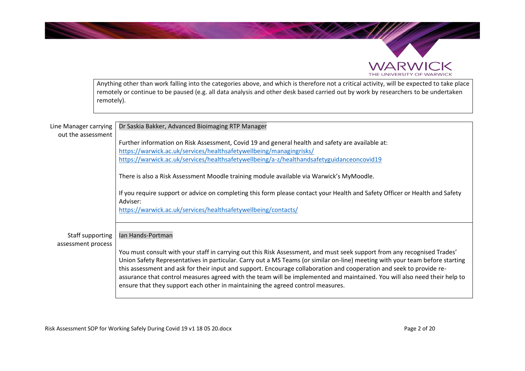

Anything other than work falling into the categories above, and which is therefore not a critical activity, will be expected to take place remotely or continue to be paused (e.g. all data analysis and other desk based carried out by work by researchers to be undertaken remotely).

| Line Manager carrying<br>out the assessment | Dr Saskia Bakker, Advanced Bioimaging RTP Manager                                                                                                                                                                                                                                                                                                                                                                                                                                                                                                                                                |
|---------------------------------------------|--------------------------------------------------------------------------------------------------------------------------------------------------------------------------------------------------------------------------------------------------------------------------------------------------------------------------------------------------------------------------------------------------------------------------------------------------------------------------------------------------------------------------------------------------------------------------------------------------|
|                                             | Further information on Risk Assessment, Covid 19 and general health and safety are available at:<br>https://warwick.ac.uk/services/healthsafetywellbeing/managingrisks/                                                                                                                                                                                                                                                                                                                                                                                                                          |
|                                             | https://warwick.ac.uk/services/healthsafetywellbeing/a-z/healthandsafetyguidanceoncovid19                                                                                                                                                                                                                                                                                                                                                                                                                                                                                                        |
|                                             | There is also a Risk Assessment Moodle training module available via Warwick's MyMoodle.                                                                                                                                                                                                                                                                                                                                                                                                                                                                                                         |
|                                             | If you require support or advice on completing this form please contact your Health and Safety Officer or Health and Safety<br>Adviser:                                                                                                                                                                                                                                                                                                                                                                                                                                                          |
|                                             | https://warwick.ac.uk/services/healthsafetywellbeing/contacts/                                                                                                                                                                                                                                                                                                                                                                                                                                                                                                                                   |
| Staff supporting<br>assessment process      | Ian Hands-Portman                                                                                                                                                                                                                                                                                                                                                                                                                                                                                                                                                                                |
|                                             | You must consult with your staff in carrying out this Risk Assessment, and must seek support from any recognised Trades'<br>Union Safety Representatives in particular. Carry out a MS Teams (or similar on-line) meeting with your team before starting<br>this assessment and ask for their input and support. Encourage collaboration and cooperation and seek to provide re-<br>assurance that control measures agreed with the team will be implemented and maintained. You will also need their help to<br>ensure that they support each other in maintaining the agreed control measures. |

Risk Assessment SOP for Working Safely During Covid 19 v1 18 05 20.docx Page 2 of 20 Page 2 of 20

**WARWICK** THE UNIVERSITY OF WARWICK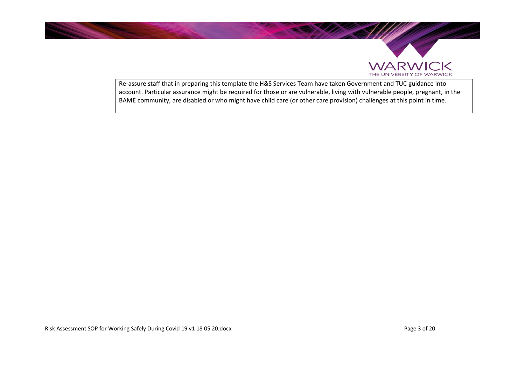



Re-assure staff that in preparing this template the H&S Services Team have taken Government and TUC guidance into account. Particular assurance might be required for those or are vulnerable, living with vulnerable people, pregnant, in the BAME community, are disabled or who might have child care (or other care provision) challenges at this point in time.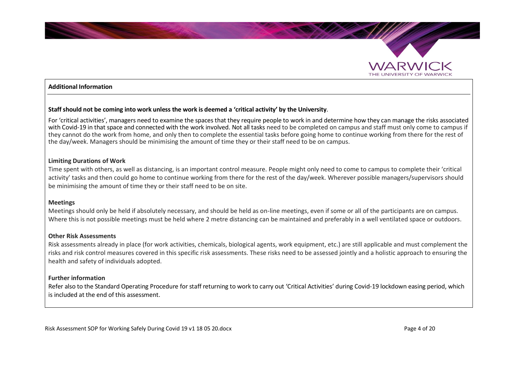

#### **Additional Information**

#### **Staff should not be coming into work unless the work is deemed a 'critical activity' by the University**.

For 'critical activities', managers need to examine the spaces that they require people to work in and determine how they can manage the risks associated with Covid-19 in that space and connected with the work involved. Not all tasks need to be completed on campus and staff must only come to campus if they cannot do the work from home, and only then to complete the essential tasks before going home to continue working from there for the rest of the day/week. Managers should be minimising the amount of time they or their staff need to be on campus.

#### **Limiting Durations of Work**

Time spent with others, as well as distancing, is an important control measure. People might only need to come to campus to complete their 'critical activity' tasks and then could go home to continue working from there for the rest of the day/week. Wherever possible managers/supervisors should be minimising the amount of time they or their staff need to be on site.

#### **Meetings**

Meetings should only be held if absolutely necessary, and should be held as on-line meetings, even if some or all of the participants are on campus. Where this is not possible meetings must be held where 2 metre distancing can be maintained and preferably in a well ventilated space or outdoors.

#### **Other Risk Assessments**

Risk assessments already in place (for work activities, chemicals, biological agents, work equipment, etc.) are still applicable and must complement the risks and risk control measures covered in this specific risk assessments. These risks need to be assessed jointly and a holistic approach to ensuring the health and safety of individuals adopted.

#### **Further information**

Refer also to the Standard Operating Procedure for staff returning to work to carry out 'Critical Activities' during Covid-19 lockdown easing period, which is included at the end of this assessment.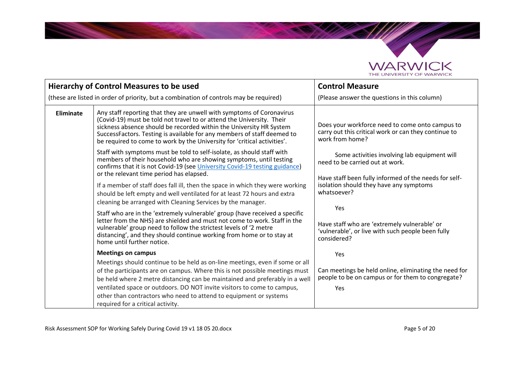

|                                                                                                                                                                                                                                                                                                                                      | <b>Hierarchy of Control Measures to be used</b>                                                                                                                                                                                                                                                                                                                              | <b>Control Measure</b>                                                                                                     |
|--------------------------------------------------------------------------------------------------------------------------------------------------------------------------------------------------------------------------------------------------------------------------------------------------------------------------------------|------------------------------------------------------------------------------------------------------------------------------------------------------------------------------------------------------------------------------------------------------------------------------------------------------------------------------------------------------------------------------|----------------------------------------------------------------------------------------------------------------------------|
|                                                                                                                                                                                                                                                                                                                                      | (these are listed in order of priority, but a combination of controls may be required)                                                                                                                                                                                                                                                                                       | (Please answer the questions in this column)                                                                               |
| <b>Eliminate</b>                                                                                                                                                                                                                                                                                                                     | Any staff reporting that they are unwell with symptoms of Coronavirus<br>(Covid-19) must be told not travel to or attend the University. Their<br>sickness absence should be recorded within the University HR System<br>SuccessFactors. Testing is available for any members of staff deemed to<br>be required to come to work by the University for 'critical activities'. | Does your workforce need to come onto campus to<br>carry out this critical work or can they continue to<br>work from home? |
| Staff with symptoms must be told to self-isolate, as should staff with<br>members of their household who are showing symptoms, until testing<br>confirms that it is not Covid-19 (see University Covid-19 testing guidance)<br>or the relevant time period has elapsed.                                                              |                                                                                                                                                                                                                                                                                                                                                                              | Some activities involving lab equipment will<br>need to be carried out at work.                                            |
|                                                                                                                                                                                                                                                                                                                                      | If a member of staff does fall ill, then the space in which they were working<br>should be left empty and well ventilated for at least 72 hours and extra<br>cleaning be arranged with Cleaning Services by the manager.                                                                                                                                                     | Have staff been fully informed of the needs for self-<br>isolation should they have any symptoms<br>whatsoever?            |
| Staff who are in the 'extremely vulnerable' group (have received a specific<br>letter from the NHS) are shielded and must not come to work. Staff in the<br>vulnerable' group need to follow the strictest levels of '2 metre<br>distancing', and they should continue working from home or to stay at<br>home until further notice. |                                                                                                                                                                                                                                                                                                                                                                              | Yes<br>Have staff who are 'extremely vulnerable' or<br>'vulnerable', or live with such people been fully<br>considered?    |
|                                                                                                                                                                                                                                                                                                                                      | <b>Meetings on campus</b>                                                                                                                                                                                                                                                                                                                                                    | Yes                                                                                                                        |
|                                                                                                                                                                                                                                                                                                                                      | Meetings should continue to be held as on-line meetings, even if some or all<br>of the participants are on campus. Where this is not possible meetings must<br>be held where 2 metre distancing can be maintained and preferably in a well                                                                                                                                   | Can meetings be held online, eliminating the need for<br>people to be on campus or for them to congregate?                 |
|                                                                                                                                                                                                                                                                                                                                      | ventilated space or outdoors. DO NOT invite visitors to come to campus,<br>other than contractors who need to attend to equipment or systems<br>required for a critical activity.                                                                                                                                                                                            | Yes                                                                                                                        |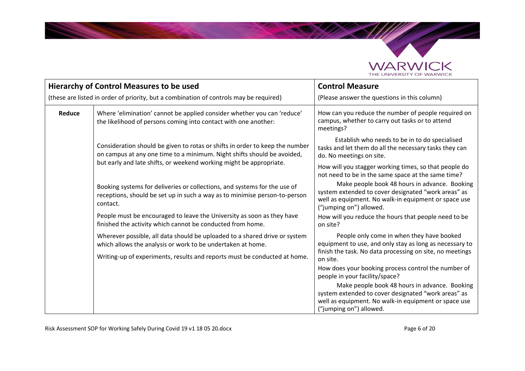

|                                                                                        | Hierarchy of Control Measures to be used                                                                                                                            | <b>Control Measure</b>                                                                                                                                                                  |
|----------------------------------------------------------------------------------------|---------------------------------------------------------------------------------------------------------------------------------------------------------------------|-----------------------------------------------------------------------------------------------------------------------------------------------------------------------------------------|
| (these are listed in order of priority, but a combination of controls may be required) |                                                                                                                                                                     | (Please answer the questions in this column)                                                                                                                                            |
| Reduce                                                                                 | Where 'elimination' cannot be applied consider whether you can 'reduce'<br>the likelihood of persons coming into contact with one another:                          | How can you reduce the number of people required on<br>campus, whether to carry out tasks or to attend<br>meetings?                                                                     |
|                                                                                        | Consideration should be given to rotas or shifts in order to keep the number<br>on campus at any one time to a minimum. Night shifts should be avoided,             | Establish who needs to be in to do specialised<br>tasks and let them do all the necessary tasks they can<br>do. No meetings on site.                                                    |
| but early and late shifts, or weekend working might be appropriate.                    |                                                                                                                                                                     | How will you stagger working times, so that people do<br>not need to be in the same space at the same time?                                                                             |
|                                                                                        | Booking systems for deliveries or collections, and systems for the use of<br>receptions, should be set up in such a way as to minimise person-to-person<br>contact. | Make people book 48 hours in advance. Booking<br>system extended to cover designated "work areas" as<br>well as equipment. No walk-in equipment or space use<br>("jumping on") allowed. |
|                                                                                        | People must be encouraged to leave the University as soon as they have<br>finished the activity which cannot be conducted from home.                                | How will you reduce the hours that people need to be<br>on site?                                                                                                                        |
|                                                                                        | Wherever possible, all data should be uploaded to a shared drive or system<br>which allows the analysis or work to be undertaken at home.                           | People only come in when they have booked<br>equipment to use, and only stay as long as necessary to<br>finish the task. No data processing on site, no meetings                        |
|                                                                                        | Writing-up of experiments, results and reports must be conducted at home.                                                                                           | on site.                                                                                                                                                                                |
|                                                                                        |                                                                                                                                                                     | How does your booking process control the number of<br>people in your facility/space?                                                                                                   |
|                                                                                        |                                                                                                                                                                     | Make people book 48 hours in advance. Booking<br>system extended to cover designated "work areas" as<br>well as equipment. No walk-in equipment or space use<br>("jumping on") allowed. |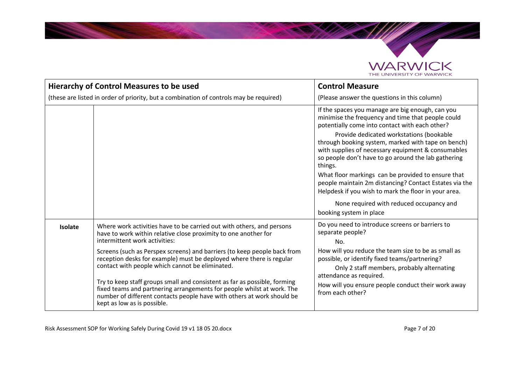

**Contract Contract Contract Contract Contract Contract Contract Contract Contract Contract Contract Contract C** 

|                                                                                        | <b>Hierarchy of Control Measures to be used</b>                                                                                                                                                                                                                                                                                                                                                                                                                                                                                                                                                                                                  | <b>Control Measure</b>                                                                                                                                                                                                                                                                                                                                                                                                                                                                                                                                                                                                           |
|----------------------------------------------------------------------------------------|--------------------------------------------------------------------------------------------------------------------------------------------------------------------------------------------------------------------------------------------------------------------------------------------------------------------------------------------------------------------------------------------------------------------------------------------------------------------------------------------------------------------------------------------------------------------------------------------------------------------------------------------------|----------------------------------------------------------------------------------------------------------------------------------------------------------------------------------------------------------------------------------------------------------------------------------------------------------------------------------------------------------------------------------------------------------------------------------------------------------------------------------------------------------------------------------------------------------------------------------------------------------------------------------|
| (these are listed in order of priority, but a combination of controls may be required) |                                                                                                                                                                                                                                                                                                                                                                                                                                                                                                                                                                                                                                                  | (Please answer the questions in this column)                                                                                                                                                                                                                                                                                                                                                                                                                                                                                                                                                                                     |
|                                                                                        |                                                                                                                                                                                                                                                                                                                                                                                                                                                                                                                                                                                                                                                  | If the spaces you manage are big enough, can you<br>minimise the frequency and time that people could<br>potentially come into contact with each other?<br>Provide dedicated workstations (bookable<br>through booking system, marked with tape on bench)<br>with supplies of necessary equipment & consumables<br>so people don't have to go around the lab gathering<br>things.<br>What floor markings can be provided to ensure that<br>people maintain 2m distancing? Contact Estates via the<br>Helpdesk if you wish to mark the floor in your area.<br>None required with reduced occupancy and<br>booking system in place |
| <b>Isolate</b>                                                                         | Where work activities have to be carried out with others, and persons<br>have to work within relative close proximity to one another for<br>intermittent work activities:<br>Screens (such as Perspex screens) and barriers (to keep people back from<br>reception desks for example) must be deployed where there is regular<br>contact with people which cannot be eliminated.<br>Try to keep staff groups small and consistent as far as possible, forming<br>fixed teams and partnering arrangements for people whilst at work. The<br>number of different contacts people have with others at work should be<br>kept as low as is possible. | Do you need to introduce screens or barriers to<br>separate people?<br>No.<br>How will you reduce the team size to be as small as<br>possible, or identify fixed teams/partnering?<br>Only 2 staff members, probably alternating<br>attendance as required.<br>How will you ensure people conduct their work away<br>from each other?                                                                                                                                                                                                                                                                                            |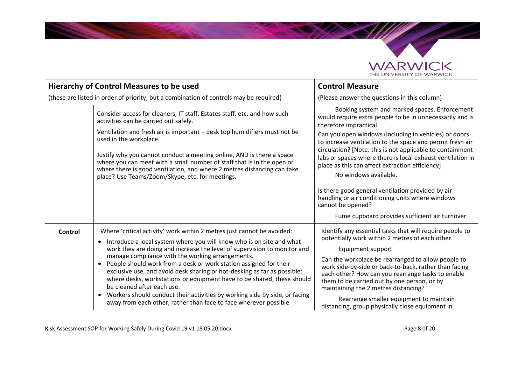

**Contractor** 

|         | <b>Hierarchy of Control Measures to be used</b>                                                                                                                                                                                                                                                                                                                                                                                                                                                                                                                                                                                                                                                                                  | <b>Control Measure</b>                                                                                                                                                                                                                                                                                                                                                                                                                                                                                                                                                                                                                           |
|---------|----------------------------------------------------------------------------------------------------------------------------------------------------------------------------------------------------------------------------------------------------------------------------------------------------------------------------------------------------------------------------------------------------------------------------------------------------------------------------------------------------------------------------------------------------------------------------------------------------------------------------------------------------------------------------------------------------------------------------------|--------------------------------------------------------------------------------------------------------------------------------------------------------------------------------------------------------------------------------------------------------------------------------------------------------------------------------------------------------------------------------------------------------------------------------------------------------------------------------------------------------------------------------------------------------------------------------------------------------------------------------------------------|
|         | (these are listed in order of priority, but a combination of controls may be required)                                                                                                                                                                                                                                                                                                                                                                                                                                                                                                                                                                                                                                           | (Please answer the questions in this column)                                                                                                                                                                                                                                                                                                                                                                                                                                                                                                                                                                                                     |
|         | Consider access for cleaners, IT staff, Estates staff, etc. and how such<br>activities can be carried out safely.<br>Ventilation and fresh air is important - desk top humidifiers must not be<br>used in the workplace.<br>Justify why you cannot conduct a meeting online, AND is there a space<br>where you can meet with a small number of staff that is in the open or<br>where there is good ventilation, and where 2 metres distancing can take<br>place? Use Teams/Zoom/Skype, etc. for meetings.                                                                                                                                                                                                                        | Booking system and marked spaces. Enforcement<br>would require extra people to be in unnecessarily and is<br>therefore impractical.<br>Can you open windows (including in vehicles) or doors<br>to increase ventilation to the space and permit fresh air<br>circulation? [Note: this is not applicable to containment<br>labs or spaces where there is local exhaust ventilation in<br>place as this can affect extraction efficiency]<br>No windows available.<br>Is there good general ventilation provided by air<br>handling or air conditioning units where windows<br>cannot be opened?<br>Fume cupboard provides sufficient air turnover |
|         |                                                                                                                                                                                                                                                                                                                                                                                                                                                                                                                                                                                                                                                                                                                                  |                                                                                                                                                                                                                                                                                                                                                                                                                                                                                                                                                                                                                                                  |
| Control | Where 'critical activity' work within 2 metres just cannot be avoided:<br>Introduce a local system where you will know who is on site and what<br>$\bullet$<br>work they are doing and increase the level of supervision to monitor and<br>manage compliance with the working arrangements.<br>People should work from a desk or work station assigned for their<br>$\bullet$<br>exclusive use, and avoid desk sharing or hot-desking as far as possible:<br>where desks, workstations or equipment have to be shared, these should<br>be cleaned after each use.<br>Workers should conduct their activities by working side by side, or facing<br>$\bullet$<br>away from each other, rather than face to face wherever possible | Identify any essential tasks that will require people to<br>potentially work within 2 metres of each other.<br>Equipment support<br>Can the workplace be rearranged to allow people to<br>work side-by-side or back-to-back, rather than facing<br>each other? How can you rearrange tasks to enable<br>them to be carried out by one person, or by<br>maintaining the 2 metres distancing?<br>Rearrange smaller equipment to maintain<br>distancing, group physically close equipment in                                                                                                                                                        |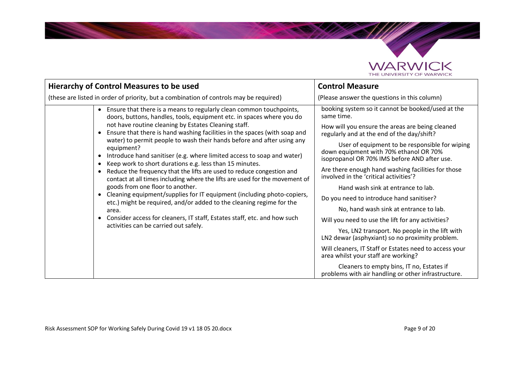

**Contract Contract Contract Contract Contract Contract Contract Contract Contract Contract Contract Contract C** 

| <b>Hierarchy of Control Measures to be used</b>                                                                                                                                                                                                                                                                                                                                                                                                                                                                                                                                                                                                                                                                                                                                                                                                                                                                                                                                                                                                                                       | <b>Control Measure</b>                                                                                                                                                                                                                                                                                                                                                                                                                                                                                                                                                                                                                                                                                                                                                                                                                                                                                  |
|---------------------------------------------------------------------------------------------------------------------------------------------------------------------------------------------------------------------------------------------------------------------------------------------------------------------------------------------------------------------------------------------------------------------------------------------------------------------------------------------------------------------------------------------------------------------------------------------------------------------------------------------------------------------------------------------------------------------------------------------------------------------------------------------------------------------------------------------------------------------------------------------------------------------------------------------------------------------------------------------------------------------------------------------------------------------------------------|---------------------------------------------------------------------------------------------------------------------------------------------------------------------------------------------------------------------------------------------------------------------------------------------------------------------------------------------------------------------------------------------------------------------------------------------------------------------------------------------------------------------------------------------------------------------------------------------------------------------------------------------------------------------------------------------------------------------------------------------------------------------------------------------------------------------------------------------------------------------------------------------------------|
| (these are listed in order of priority, but a combination of controls may be required)                                                                                                                                                                                                                                                                                                                                                                                                                                                                                                                                                                                                                                                                                                                                                                                                                                                                                                                                                                                                | (Please answer the questions in this column)                                                                                                                                                                                                                                                                                                                                                                                                                                                                                                                                                                                                                                                                                                                                                                                                                                                            |
| Ensure that there is a means to regularly clean common touchpoints,<br>$\bullet$<br>doors, buttons, handles, tools, equipment etc. in spaces where you do<br>not have routine cleaning by Estates Cleaning staff.<br>Ensure that there is hand washing facilities in the spaces (with soap and<br>$\bullet$<br>water) to permit people to wash their hands before and after using any<br>equipment?<br>Introduce hand sanitiser (e.g. where limited access to soap and water)<br>$\bullet$<br>Keep work to short durations e.g. less than 15 minutes.<br>$\bullet$<br>Reduce the frequency that the lifts are used to reduce congestion and<br>$\bullet$<br>contact at all times including where the lifts are used for the movement of<br>goods from one floor to another.<br>Cleaning equipment/supplies for IT equipment (including photo-copiers,<br>$\bullet$<br>etc.) might be required, and/or added to the cleaning regime for the<br>area.<br>Consider access for cleaners, IT staff, Estates staff, etc. and how such<br>$\bullet$<br>activities can be carried out safely. | booking system so it cannot be booked/used at the<br>same time.<br>How will you ensure the areas are being cleaned<br>regularly and at the end of the day/shift?<br>User of equipment to be responsible for wiping<br>down equipment with 70% ethanol OR 70%<br>isopropanol OR 70% IMS before AND after use.<br>Are there enough hand washing facilities for those<br>involved in the 'critical activities'?<br>Hand wash sink at entrance to lab.<br>Do you need to introduce hand sanitiser?<br>No, hand wash sink at entrance to lab.<br>Will you need to use the lift for any activities?<br>Yes, LN2 transport. No people in the lift with<br>LN2 dewar (asphyxiant) so no proximity problem.<br>Will cleaners, IT Staff or Estates need to access your<br>area whilst your staff are working?<br>Cleaners to empty bins, IT no, Estates if<br>problems with air handling or other infrastructure. |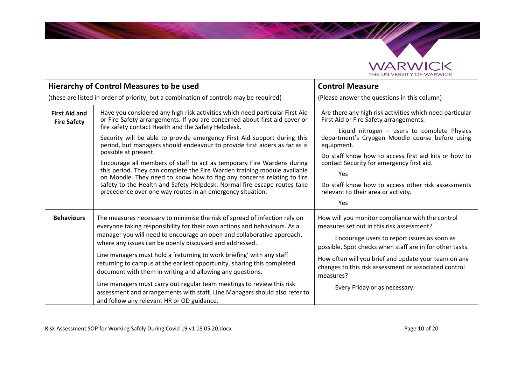

**SALES** 

| <b>Hierarchy of Control Measures to be used</b> |                                                                                                                                                                                                                                                                                                                                                                                                                                                                                                                                                                                                                                                                                                                                                                              | <b>Control Measure</b>                                                                                                                                                                                                                                                                                                                                                                                                             |
|-------------------------------------------------|------------------------------------------------------------------------------------------------------------------------------------------------------------------------------------------------------------------------------------------------------------------------------------------------------------------------------------------------------------------------------------------------------------------------------------------------------------------------------------------------------------------------------------------------------------------------------------------------------------------------------------------------------------------------------------------------------------------------------------------------------------------------------|------------------------------------------------------------------------------------------------------------------------------------------------------------------------------------------------------------------------------------------------------------------------------------------------------------------------------------------------------------------------------------------------------------------------------------|
|                                                 | (these are listed in order of priority, but a combination of controls may be required)                                                                                                                                                                                                                                                                                                                                                                                                                                                                                                                                                                                                                                                                                       | (Please answer the questions in this column)                                                                                                                                                                                                                                                                                                                                                                                       |
| <b>First Aid and</b><br><b>Fire Safety</b>      | Have you considered any high risk activities which need particular First Aid<br>or Fire Safety arrangements. If you are concerned about first aid cover or<br>fire safety contact Health and the Safety Helpdesk.<br>Security will be able to provide emergency First Aid support during this<br>period, but managers should endeavour to provide first aiders as far as is<br>possible at present.<br>Encourage all members of staff to act as temporary Fire Wardens during<br>this period. They can complete the Fire Warden training module available<br>on Moodle. They need to know how to flag any concerns relating to fire<br>safety to the Health and Safety Helpdesk. Normal fire escape routes take<br>precedence over one way routes in an emergency situation. | Are there any high risk activities which need particular<br>First Aid or Fire Safety arrangements.<br>Liquid nitrogen - users to complete Physics<br>department's Cryogen Moodle course before using<br>equipment.<br>Do staff know how to access first aid kits or how to<br>contact Security for emergency first aid.<br>Yes<br>Do staff know how to access other risk assessments<br>relevant to their area or activity.<br>Yes |
| <b>Behaviours</b>                               | The measures necessary to minimise the risk of spread of infection rely on<br>everyone taking responsibility for their own actions and behaviours. As a<br>manager you will need to encourage an open and collaborative approach,<br>where any issues can be openly discussed and addressed.<br>Line managers must hold a 'returning to work briefing' with any staff<br>returning to campus at the earliest opportunity, sharing this completed<br>document with them in writing and allowing any questions.<br>Line managers must carry out regular team meetings to review this risk<br>assessment and arrangements with staff. Line Managers should also refer to<br>and follow any relevant HR or OD guidance.                                                          | How will you monitor compliance with the control<br>measures set out in this risk assessment?<br>Encourage users to report issues as soon as<br>possible. Spot checks when staff are in for other tasks.<br>How often will you brief and update your team on any<br>changes to this risk assessment or associated control<br>measures?<br>Every Friday or as necessary.                                                            |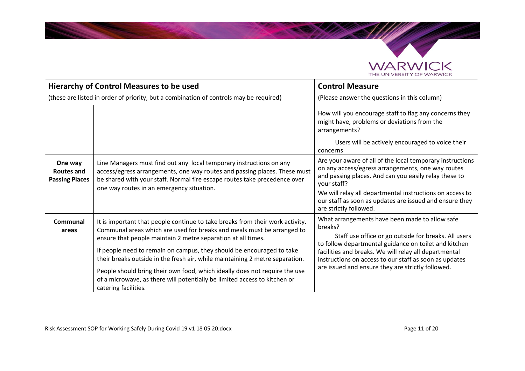

**CALLES** 

|                                                       | <b>Hierarchy of Control Measures to be used</b>                                                                                                                                                                                                                                                                                                                                                                                                                                                                                                                     | <b>Control Measure</b>                                                                                                                                                                                                                                                                                                                             |
|-------------------------------------------------------|---------------------------------------------------------------------------------------------------------------------------------------------------------------------------------------------------------------------------------------------------------------------------------------------------------------------------------------------------------------------------------------------------------------------------------------------------------------------------------------------------------------------------------------------------------------------|----------------------------------------------------------------------------------------------------------------------------------------------------------------------------------------------------------------------------------------------------------------------------------------------------------------------------------------------------|
|                                                       | (these are listed in order of priority, but a combination of controls may be required)                                                                                                                                                                                                                                                                                                                                                                                                                                                                              | (Please answer the questions in this column)                                                                                                                                                                                                                                                                                                       |
|                                                       |                                                                                                                                                                                                                                                                                                                                                                                                                                                                                                                                                                     | How will you encourage staff to flag any concerns they<br>might have, problems or deviations from the<br>arrangements?<br>Users will be actively encouraged to voice their<br>concerns                                                                                                                                                             |
| One way<br><b>Routes and</b><br><b>Passing Places</b> | Line Managers must find out any local temporary instructions on any<br>access/egress arrangements, one way routes and passing places. These must<br>be shared with your staff. Normal fire escape routes take precedence over<br>one way routes in an emergency situation.                                                                                                                                                                                                                                                                                          | Are your aware of all of the local temporary instructions<br>on any access/egress arrangements, one way routes<br>and passing places. And can you easily relay these to<br>your staff?<br>We will relay all departmental instructions on access to<br>our staff as soon as updates are issued and ensure they<br>are strictly followed.            |
| Communal<br>areas                                     | It is important that people continue to take breaks from their work activity.<br>Communal areas which are used for breaks and meals must be arranged to<br>ensure that people maintain 2 metre separation at all times.<br>If people need to remain on campus, they should be encouraged to take<br>their breaks outside in the fresh air, while maintaining 2 metre separation.<br>People should bring their own food, which ideally does not require the use<br>of a microwave, as there will potentially be limited access to kitchen or<br>catering facilities. | What arrangements have been made to allow safe<br>breaks?<br>Staff use office or go outside for breaks. All users<br>to follow departmental guidance on toilet and kitchen<br>facilities and breaks. We will relay all departmental<br>instructions on access to our staff as soon as updates<br>are issued and ensure they are strictly followed. |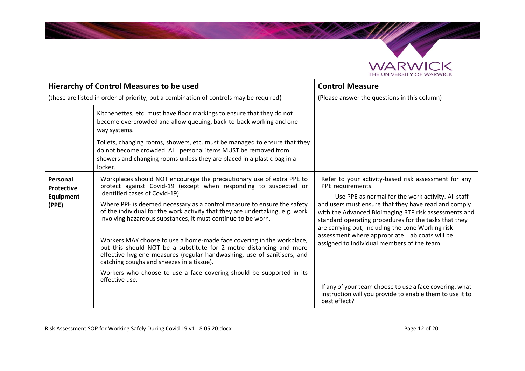

**CALLES** 

|                                                     | <b>Hierarchy of Control Measures to be used</b>                                                                                                                                                                                                                                                                                                                                                                                                                                                                                                                                                                                                                                                                                                                          | <b>Control Measure</b>                                                                                                                                                                                                                                                                                                                                                                                                                                           |
|-----------------------------------------------------|--------------------------------------------------------------------------------------------------------------------------------------------------------------------------------------------------------------------------------------------------------------------------------------------------------------------------------------------------------------------------------------------------------------------------------------------------------------------------------------------------------------------------------------------------------------------------------------------------------------------------------------------------------------------------------------------------------------------------------------------------------------------------|------------------------------------------------------------------------------------------------------------------------------------------------------------------------------------------------------------------------------------------------------------------------------------------------------------------------------------------------------------------------------------------------------------------------------------------------------------------|
|                                                     | (these are listed in order of priority, but a combination of controls may be required)                                                                                                                                                                                                                                                                                                                                                                                                                                                                                                                                                                                                                                                                                   | (Please answer the questions in this column)                                                                                                                                                                                                                                                                                                                                                                                                                     |
|                                                     | Kitchenettes, etc. must have floor markings to ensure that they do not<br>become overcrowded and allow queuing, back-to-back working and one-<br>way systems.                                                                                                                                                                                                                                                                                                                                                                                                                                                                                                                                                                                                            |                                                                                                                                                                                                                                                                                                                                                                                                                                                                  |
|                                                     | Toilets, changing rooms, showers, etc. must be managed to ensure that they<br>do not become crowded. ALL personal items MUST be removed from<br>showers and changing rooms unless they are placed in a plastic bag in a<br>locker.                                                                                                                                                                                                                                                                                                                                                                                                                                                                                                                                       |                                                                                                                                                                                                                                                                                                                                                                                                                                                                  |
| Personal<br><b>Protective</b><br>Equipment<br>(PPE) | Workplaces should NOT encourage the precautionary use of extra PPE to<br>protect against Covid-19 (except when responding to suspected or<br>identified cases of Covid-19).<br>Where PPE is deemed necessary as a control measure to ensure the safety<br>of the individual for the work activity that they are undertaking, e.g. work<br>involving hazardous substances, it must continue to be worn.<br>Workers MAY choose to use a home-made face covering in the workplace,<br>but this should NOT be a substitute for 2 metre distancing and more<br>effective hygiene measures (regular handwashing, use of sanitisers, and<br>catching coughs and sneezes in a tissue).<br>Workers who choose to use a face covering should be supported in its<br>effective use. | Refer to your activity-based risk assessment for any<br>PPE requirements.<br>Use PPE as normal for the work activity. All staff<br>and users must ensure that they have read and comply<br>with the Advanced Bioimaging RTP risk assessments and<br>standard operating procedures for the tasks that they<br>are carrying out, including the Lone Working risk<br>assessment where appropriate. Lab coats will be<br>assigned to individual members of the team. |
|                                                     |                                                                                                                                                                                                                                                                                                                                                                                                                                                                                                                                                                                                                                                                                                                                                                          | If any of your team choose to use a face covering, what<br>instruction will you provide to enable them to use it to<br>best effect?                                                                                                                                                                                                                                                                                                                              |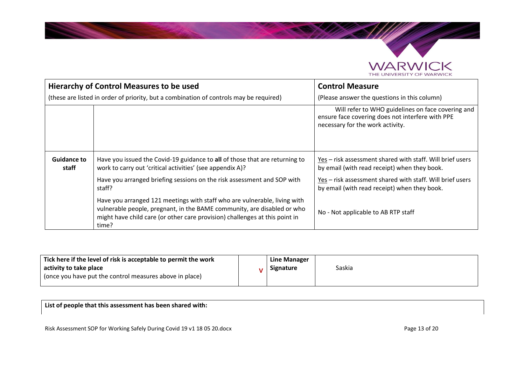

|                             | <b>Hierarchy of Control Measures to be used</b>                                                                                                                                                                                              | <b>Control Measure</b>                                                                                                                    |
|-----------------------------|----------------------------------------------------------------------------------------------------------------------------------------------------------------------------------------------------------------------------------------------|-------------------------------------------------------------------------------------------------------------------------------------------|
|                             | (these are listed in order of priority, but a combination of controls may be required)                                                                                                                                                       | (Please answer the questions in this column)                                                                                              |
|                             |                                                                                                                                                                                                                                              | Will refer to WHO guidelines on face covering and<br>ensure face covering does not interfere with PPE<br>necessary for the work activity. |
| <b>Guidance to</b><br>staff | Have you issued the Covid-19 guidance to all of those that are returning to<br>work to carry out 'critical activities' (see appendix A)?                                                                                                     | $Yes – risk assessment shared with staff. Will brief users$<br>by email (with read receipt) when they book.                               |
|                             | Have you arranged briefing sessions on the risk assessment and SOP with<br>staff?                                                                                                                                                            | Yes - risk assessment shared with staff. Will brief users<br>by email (with read receipt) when they book.                                 |
|                             | Have you arranged 121 meetings with staff who are vulnerable, living with<br>vulnerable people, pregnant, in the BAME community, are disabled or who<br>might have child care (or other care provision) challenges at this point in<br>time? | No - Not applicable to AB RTP staff                                                                                                       |

| Tick here if the level of risk is acceptable to permit the work | Line Manager |        |
|-----------------------------------------------------------------|--------------|--------|
| activity to take place                                          | Signature    | Saskia |
| (once you have put the control measures above in place)         |              |        |
|                                                                 |              |        |

**List of people that this assessment has been shared with:**

Risk Assessment SOP for Working Safely During Covid 19 v1 18 05 20.docx Page 13 of 20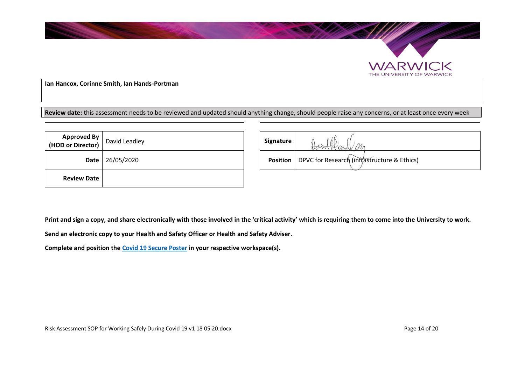

**Ian Hancox, Corinne Smith, Ian Hands-Portman**

**Review date:** this assessment needs to be reviewed and updated should anything change, should people raise any concerns, or at least once every week

| <b>Approved By</b><br>(HOD or Director) David Leadley |            | Signature       |                                             |
|-------------------------------------------------------|------------|-----------------|---------------------------------------------|
| Date                                                  | 26/05/2020 | <b>Position</b> | DPVC for Research (infrastructure & Ethics) |
| <b>Review Date</b>                                    |            |                 |                                             |

| Signature       |                                             |  |
|-----------------|---------------------------------------------|--|
| <b>Position</b> | DPVC for Research (infrastructure & Ethics) |  |

**WARWICK** THE UNIVERSITY OF WARWICK

**Print and sign a copy, and share electronically with those involved in the 'critical activity' which is requiring them to come into the University to work.**

**Send an electronic copy to your Health and Safety Officer or Health and Safety Adviser.**

**Complete and position the [Covid 19 Secure Poster](https://assets.publishing.service.gov.uk/media/5eb9745a86650c2794d7501c/staying-covid-19-secure.pdf) in your respective workspace(s).**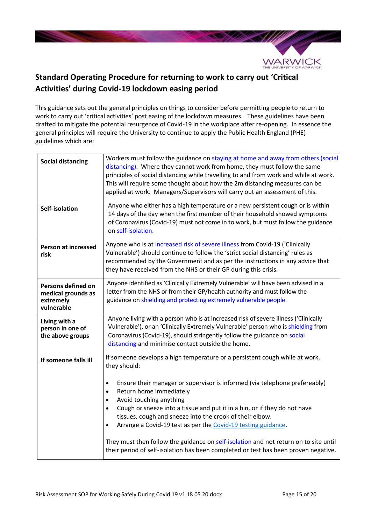

# **Standard Operating Procedure for returning to work to carry out 'Critical Activities' during Covid-19 lockdown easing period**

This guidance sets out the general principles on things to consider before permitting people to return to work to carry out 'critical activities' post easing of the lockdown measures. These guidelines have been drafted to mitigate the potential resurgence of Covid-19 in the workplace after re-opening. In essence the general principles will require the University to continue to apply the Public Health England (PHE) guidelines which are:

| <b>Social distancing</b>                                            | Workers must follow the guidance on staying at home and away from others (social<br>distancing). Where they cannot work from home, they must follow the same<br>principles of social distancing while travelling to and from work and while at work.<br>This will require some thought about how the 2m distancing measures can be<br>applied at work. Managers/Supervisors will carry out an assessment of this.                                                                                                                                                                                                                                                                         |  |
|---------------------------------------------------------------------|-------------------------------------------------------------------------------------------------------------------------------------------------------------------------------------------------------------------------------------------------------------------------------------------------------------------------------------------------------------------------------------------------------------------------------------------------------------------------------------------------------------------------------------------------------------------------------------------------------------------------------------------------------------------------------------------|--|
| Self-isolation                                                      | Anyone who either has a high temperature or a new persistent cough or is within<br>14 days of the day when the first member of their household showed symptoms<br>of Coronavirus (Covid-19) must not come in to work, but must follow the guidance<br>on self-isolation.                                                                                                                                                                                                                                                                                                                                                                                                                  |  |
| <b>Person at increased</b><br>risk                                  | Anyone who is at increased risk of severe illness from Covid-19 ('Clinically<br>Vulnerable') should continue to follow the 'strict social distancing' rules as<br>recommended by the Government and as per the instructions in any advice that<br>they have received from the NHS or their GP during this crisis.                                                                                                                                                                                                                                                                                                                                                                         |  |
| Persons defined on<br>medical grounds as<br>extremely<br>vulnerable | Anyone identified as 'Clinically Extremely Vulnerable' will have been advised in a<br>letter from the NHS or from their GP/health authority and must follow the<br>guidance on shielding and protecting extremely vulnerable people.                                                                                                                                                                                                                                                                                                                                                                                                                                                      |  |
| Living with a<br>person in one of<br>the above groups               | Anyone living with a person who is at increased risk of severe illness ('Clinically<br>Vulnerable'), or an 'Clinically Extremely Vulnerable' person who is shielding from<br>Coronavirus (Covid-19), should stringently follow the guidance on social<br>distancing and minimise contact outside the home.                                                                                                                                                                                                                                                                                                                                                                                |  |
| If someone falls ill                                                | If someone develops a high temperature or a persistent cough while at work,<br>they should:<br>Ensure their manager or supervisor is informed (via telephone prefereably)<br>$\bullet$<br>Return home immediately<br>$\bullet$<br>Avoid touching anything<br>$\bullet$<br>Cough or sneeze into a tissue and put it in a bin, or if they do not have<br>$\bullet$<br>tissues, cough and sneeze into the crook of their elbow.<br>Arrange a Covid-19 test as per the Covid-19 testing guidance.<br>$\bullet$<br>They must then follow the guidance on self-isolation and not return on to site until<br>their period of self-isolation has been completed or test has been proven negative. |  |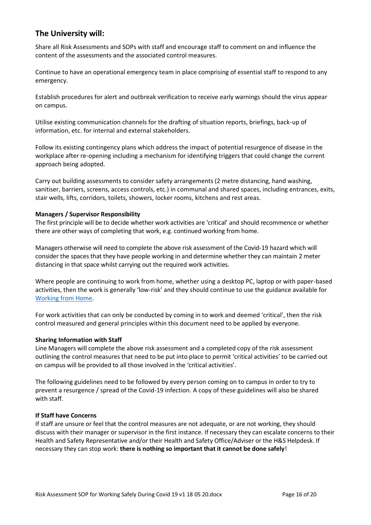# **The University will:**

Share all Risk Assessments and SOPs with staff and encourage staff to comment on and influence the content of the assessments and the associated control measures.

Continue to have an operational emergency team in place comprising of essential staff to respond to any emergency.

Establish procedures for alert and outbreak verification to receive early warnings should the virus appear on campus.

Utilise existing communication channels for the drafting of situation reports, briefings, back-up of information, etc. for internal and external stakeholders.

Follow its existing contingency plans which address the impact of potential resurgence of disease in the workplace after re-opening including a mechanism for identifying triggers that could change the current approach being adopted.

Carry out building assessments to consider safety arrangements (2 metre distancing, hand washing, sanitiser, barriers, screens, access controls, etc.) in communal and shared spaces, including entrances, exits, stair wells, lifts, corridors, toilets, showers, locker rooms, kitchens and rest areas.

## **Managers / Supervisor Responsibility**

The first principle will be to decide whether work activities are 'critical' and should recommence or whether there are other ways of completing that work, e.g. continued working from home.

Managers otherwise will need to complete the above risk assessment of the Covid-19 hazard which will consider the spaces that they have people working in and determine whether they can maintain 2 meter distancing in that space whilst carrying out the required work activities.

Where people are continuing to work from home, whether using a desktop PC, laptop or with paper-based activities, then the work is generally 'low-risk' and they should continue to use the guidance available for [Working from](https://warwick.ac.uk/services/healthsafetywellbeing/a-z/healthandsafetyguidanceoncovid19) Home.

For work activities that can only be conducted by coming in to work and deemed 'critical', then the risk control measured and general principles within this document need to be applied by everyone.

## **Sharing Information with Staff**

Line Managers will complete the above risk assessment and a completed copy of the risk assessment outlining the control measures that need to be put into place to permit 'critical activities' to be carried out on campus will be provided to all those involved in the 'critical activities'.

The following guidelines need to be followed by every person coming on to campus in order to try to prevent a resurgence / spread of the Covid-19 infection. A copy of these guidelines will also be shared with staff.

#### **If Staff have Concerns**

If staff are unsure or feel that the control measures are not adequate, or are not working, they should discuss with their manager or supervisor in the first instance. If necessary they can escalate concerns to their Health and Safety Representative and/or their Health and Safety Office/Adviser or the H&S Helpdesk. If necessary they can stop work: **there is nothing so important that it cannot be done safely**!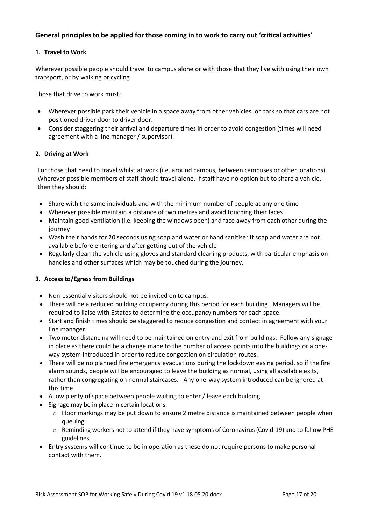# **General principles to be applied for those coming in to work to carry out 'critical activities'**

## **1. Travel to Work**

Wherever possible people should travel to campus alone or with those that they live with using their own transport, or by walking or cycling.

Those that drive to work must:

- Wherever possible park their vehicle in a space away from other vehicles, or park so that cars are not positioned driver door to driver door.
- Consider staggering their arrival and departure times in order to avoid congestion (times will need agreement with a line manager / supervisor).

## **2. Driving at Work**

For those that need to travel whilst at work (i.e. around campus, between campuses or other locations). Wherever possible members of staff should travel alone. If staff have no option but to share a vehicle, then they should:

- Share with the same individuals and with the minimum number of people at any one time
- Wherever possible maintain a distance of two metres and avoid touching their faces
- Maintain good ventilation (i.e. keeping the windows open) and face away from each other during the iourney
- Wash their hands for 20 seconds using soap and water or hand sanitiser if soap and water are not available before entering and after getting out of the vehicle
- Regularly clean the vehicle using gloves and standard cleaning products, with particular emphasis on handles and other surfaces which may be touched during the journey.

## **3. Access to/Egress from Buildings**

- Non-essential visitors should not be invited on to campus.
- There will be a reduced building occupancy during this period for each building. Managers will be required to liaise with Estates to determine the occupancy numbers for each space.
- Start and finish times should be staggered to reduce congestion and contact in agreement with your line manager.
- Two meter distancing will need to be maintained on entry and exit from buildings. Follow any signage in place as there could be a change made to the number of access points into the buildings or a oneway system introduced in order to reduce congestion on circulation routes.
- There will be no planned fire emergency evacuations during the lockdown easing period, so if the fire alarm sounds, people will be encouraged to leave the building as normal, using all available exits, rather than congregating on normal staircases. Any one-way system introduced can be ignored at this time.
- Allow plenty of space between people waiting to enter / leave each building.
- Signage may be in place in certain locations:
	- $\circ$  Floor markings may be put down to ensure 2 metre distance is maintained between people when queuing
	- o Reminding workers not to attend if they have symptoms of Coronavirus (Covid-19) and to follow PHE guidelines
- Entry systems will continue to be in operation as these do not require persons to make personal contact with them.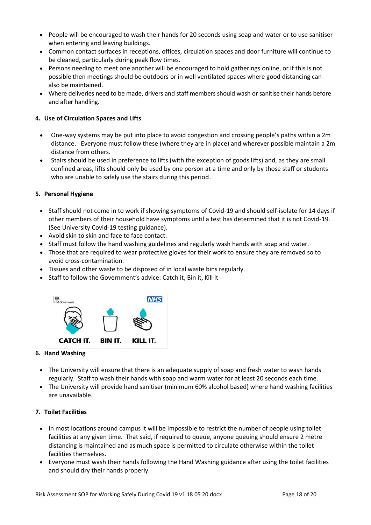- People will be encouraged to wash their hands for 20 seconds using soap and water or to use sanitiser when entering and leaving buildings.
- Common contact surfaces in receptions, offices, circulation spaces and door furniture will continue to be cleaned, particularly during peak flow times.
- Persons needing to meet one another will be encouraged to hold gatherings online, or if this is not possible then meetings should be outdoors or in well ventilated spaces where good distancing can also be maintained.
- Where deliveries need to be made, drivers and staff members should wash or sanitise their hands before and after handling.

# **4. Use of Circulation Spaces and Lifts**

- One-way systems may be put into place to avoid congestion and crossing people's paths within a 2m distance. Everyone must follow these (where they are in place) and wherever possible maintain a 2m distance from others.
- Stairs should be used in preference to lifts (with the exception of goods lifts) and, as they are small confined areas, lifts should only be used by one person at a time and only by those staff or students who are unable to safely use the stairs during this period.

# **5. Personal Hygiene**

- Staff should not come in to work if showing symptoms of Covid-19 and should self-isolate for 14 days if other members of their household have symptoms until a test has determined that it is not Covid-19. (See University Covid-19 testing guidance).
- Avoid skin to skin and face to face contact.
- Staff must follow the hand washing guidelines and regularly wash hands with soap and water.
- Those that are required to wear protective gloves for their work to ensure they are removed so to avoid cross-contamination.
- Tissues and other waste to be disposed of in local waste bins regularly.
- Staff to follow the Government's advice: Catch it, Bin it, Kill it



# **6. Hand Washing**

- The University will ensure that there is an adequate supply of soap and fresh water to wash hands regularly. Staff to wash their hands with soap and warm water for at least 20 seconds each time.
- The University will provide hand sanitiser (minimum 60% alcohol based) where hand washing facilities are unavailable.

# **7. Toilet Facilities**

- In most locations around campus it will be impossible to restrict the number of people using toilet facilities at any given time. That said, if required to queue, anyone queuing should ensure 2 metre distancing is maintained and as much space is permitted to circulate otherwise within the toilet facilities themselves.
- Everyone must wash their hands following the Hand Washing guidance after using the toilet facilities and should dry their hands properly.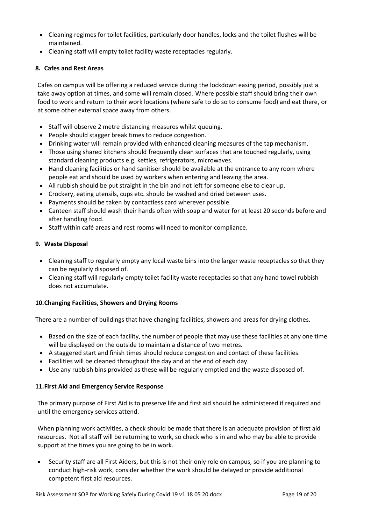- Cleaning regimes for toilet facilities, particularly door handles, locks and the toilet flushes will be maintained.
- Cleaning staff will empty toilet facility waste receptacles regularly.

# **8. Cafes and Rest Areas**

Cafes on campus will be offering a reduced service during the lockdown easing period, possibly just a take away option at times, and some will remain closed. Where possible staff should bring their own food to work and return to their work locations (where safe to do so to consume food) and eat there, or at some other external space away from others.

- Staff will observe 2 metre distancing measures whilst queuing.
- People should stagger break times to reduce congestion.
- Drinking water will remain provided with enhanced cleaning measures of the tap mechanism.
- Those using shared kitchens should frequently clean surfaces that are touched regularly, using standard cleaning products e.g. kettles, refrigerators, microwaves.
- Hand cleaning facilities or hand sanitiser should be available at the entrance to any room where people eat and should be used by workers when entering and leaving the area.
- All rubbish should be put straight in the bin and not left for someone else to clear up.
- Crockery, eating utensils, cups etc. should be washed and dried between uses.
- Payments should be taken by contactless card wherever possible.
- Canteen staff should wash their hands often with soap and water for at least 20 seconds before and after handling food.
- Staff within café areas and rest rooms will need to monitor compliance.

## **9. Waste Disposal**

- Cleaning staff to regularly empty any local waste bins into the larger waste receptacles so that they can be regularly disposed of.
- Cleaning staff will regularly empty toilet facility waste receptacles so that any hand towel rubbish does not accumulate.

# **10.Changing Facilities, Showers and Drying Rooms**

There are a number of buildings that have changing facilities, showers and areas for drying clothes.

- Based on the size of each facility, the number of people that may use these facilities at any one time will be displayed on the outside to maintain a distance of two metres.
- A staggered start and finish times should reduce congestion and contact of these facilities.
- Facilities will be cleaned throughout the day and at the end of each day.
- Use any rubbish bins provided as these will be regularly emptied and the waste disposed of.

## **11.First Aid and Emergency Service Response**

The primary purpose of First Aid is to preserve life and first aid should be administered if required and until the emergency services attend.

When planning work activities, a check should be made that there is an adequate provision of first aid resources. Not all staff will be returning to work, so check who is in and who may be able to provide support at the times you are going to be in work.

• Security staff are all First Aiders, but this is not their only role on campus, so if you are planning to conduct high-risk work, consider whether the work should be delayed or provide additional competent first aid resources.